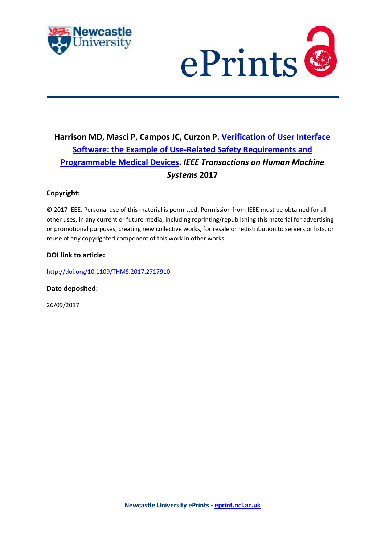



## **Harrison MD, Masci P, Campos JC, Curzon P. [Verification of User Interface](https://myimpact.ncl.ac.uk/ViewPublication.aspx?id=238816)  [Software: the Example of Use-Related Safety Requirements and](https://myimpact.ncl.ac.uk/ViewPublication.aspx?id=238816)  [Programmable Medical Devices.](https://myimpact.ncl.ac.uk/ViewPublication.aspx?id=238816)** *IEEE Transactions on Human Machine Systems* **2017**

### **Copyright:**

© 2017 IEEE. Personal use of this material is permitted. Permission from IEEE must be obtained for all other uses, in any current or future media, including reprinting/republishing this material for advertising or promotional purposes, creating new collective works, for resale or redistribution to servers or lists, or reuse of any copyrighted component of this work in other works.

#### **DOI link to article:**

<http://doi.org/10.1109/THMS.2017.2717910>

**Date deposited:** 

26/09/2017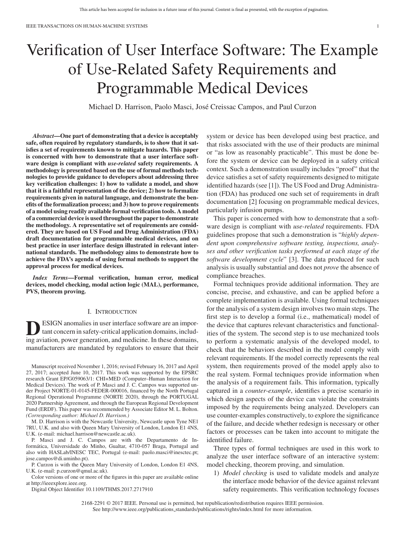# Verification of User Interface Software: The Example of Use-Related Safety Requirements and Programmable Medical Devices

Michael D. Harrison, Paolo Masci, Jose Creissac Campos, and Paul Curzon ´

*Abstract***—One part of demonstrating that a device is acceptably safe, often required by regulatory standards, is to show that it satisfies a set of requirements known to mitigate hazards. This paper is concerned with how to demonstrate that a user interface software design is compliant with** *use-related* **safety requirements. A methodology is presented based on the use of formal methods technologies to provide guidance to developers about addressing three key verification challenges: 1) how to validate a model, and show that it is a faithful representation of the device; 2) how to formalize requirements given in natural language, and demonstrate the benefits of the formalization process; and 3) how to prove requirements of a model using readily available formal verification tools. A model of a commercial device is used throughout the paper to demonstrate the methodology. A representative set of requirements are considered. They are based on US Food and Drug Administration (FDA) draft documentation for programmable medical devices, and on best practice in user interface design illustrated in relevant international standards. The methodology aims to demonstrate how to achieve the FDA's agenda of using formal methods to support the approval process for medical devices.**

*Index Terms***—Formal verification, human error, medical devices, model checking, modal action logic (MAL), performance, PVS, theorem proving.**

#### I. INTRODUCTION

**ESIGN** anomalies in user interface software are an important concern in safety-critical application domains, including aviation, power generation, and medicine. In these domains, manufacturers are mandated by regulators to ensure that their

Manuscript received November 1, 2016; revised February 16, 2017 and April 27, 2017; accepted June 10, 2017. This work was supported by the EPSRC research Grant EP/G059063/1: CHI+MED (Computer–Human Interaction for Medical Devices). The work of P. Masci and J. C. Campos was supported under Project NORTE-01-0145-FEDER-000016, financed by the North Portugal Regional Operational Programme (NORTE 2020), through the PORTUGAL 2020 Partnership Agreement, and through the European Regional Development Fund (ERDF). This paper was recommended by Associate Editor M. L. Bolton. *(Corresponding author: Michael D. Harrison.)*

M. D. Harrison is with the Newcastle University, Newcastle upon Tyne NE1 7RU, U.K. and also with Queen Mary University of London, London E1 4NS, U.K. (e-mail: michael.harrison@newcastle.ac.uk).

P. Masci and J. C. Campos are with the Departamento de Informatica, Universidade do Minho, Gualtar, 4710-057 Braga, Portugal and ´ also with HASLab/INESC TEC, Portugal (e-mail: paolo.masci@inesctec.pt; jose.campos@di.uminho.pt).

P. Curzon is with the Queen Mary University of London, London E1 4NS, U.K. (e-mail: p.curzon@qmul.ac.uk).

Color versions of one or more of the figures in this paper are available online at http://ieeexplore.ieee.org.

Digital Object Identifier 10.1109/THMS.2017.2717910

system or device has been developed using best practice, and that risks associated with the use of their products are minimal or "as low as reasonably practicable". This must be done before the system or device can be deployed in a safety critical context. Such a demonstration usually includes "proof" that the device satisfies a set of safety requirements designed to mitigate identified hazards (see [1]). The US Food and Drug Administration (FDA) has produced one such set of requirements in draft documentation [2] focusing on programmable medical devices, particularly infusion pumps.

This paper is concerned with how to demonstrate that a software design is compliant with *use-related* requirements. FDA guidelines propose that such a demonstration is "*highly dependent upon comprehensive software testing, inspections, analyses and other verification tasks performed at each stage of the software development cycle*" [3]. The data produced for such analysis is usually substantial and does not *prove* the absence of compliance breaches.

Formal techniques provide additional information. They are concise, precise, and exhaustive, and can be applied before a complete implementation is available. Using formal techniques for the analysis of a system design involves two main steps. The first step is to develop a formal (i.e., mathematical) model of the device that captures relevant characteristics and functionalities of the system. The second step is to use mechanized tools to perform a systematic analysis of the developed model, to check that the behaviors described in the model comply with relevant requirements. If the model correctly represents the real system, then requirements proved of the model apply also to the real system. Formal techniques provide information when the analysis of a requirement fails. This information, typically captured in a *counter-example*, identifies a precise scenario in which design aspects of the device can violate the constraints imposed by the requirements being analyzed. Developers can use counter-examples constructively, to explore the significance of the failure, and decide whether redesign is necessary or other factors or processes can be taken into account to mitigate the identified failure.

Three types of formal techniques are used in this work to analyze the user interface software of an interactive system: model checking, theorem proving, and simulation.

1) *Model checking* is used to validate models and analyze the interface mode behavior of the device against relevant safety requirements. This verification technology focuses

2168-2291 © 2017 IEEE. Personal use is permitted, but republication/redistribution requires IEEE permission. See http://www.ieee.org/publications\_[standards/publications/rights/index.html](http://www.ieee.org/publications_standards/publications/rights/index.html) for more information.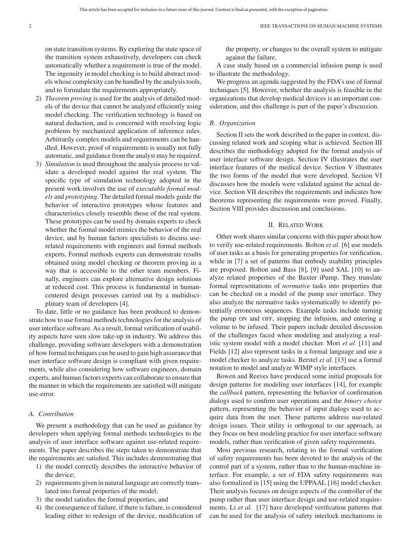on state transition systems. By exploring the state space of the transition system exhaustively, developers can check automatically whether a requirement is true of the model. The ingenuity in model checking is to build abstract models whose complexity can be handled by the analysis tools, and to formulate the requirements appropriately.

- 2) *Theorem proving* is used for the analysis of detailed models of the device that cannot be analyzed efficiently using model checking. The verification technology is based on natural deduction, and is concerned with resolving logic problems by mechanized application of inference rules. Arbitrarily complex models and requirements can be handled. However, proof of requirements is usually not fully automatic, and guidance from the analyst may be required.
- 3) *Simulation* is used throughout the analysis process to validate a developed model against the real system. The specific type of simulation technology adopted in the present work involves the use of *executable formal models* and *prototyping*. The detailed formal models guide the behavior of interactive prototypes whose features and characteristics closely resemble those of the real system. These prototypes can be used by domain experts to check whether the formal model mimics the behavior of the real device, and by human factors specialists to discuss userelated requirements with engineers and formal methods experts. Formal methods experts can demonstrate results obtained using model checking or theorem proving in a way that is accessible to the other team members. Finally, engineers can explore alternative design solutions at reduced cost. This process is fundamental in humancentered design processes carried out by a multidisciplinary team of developers [4].

To date, little or no guidance has been produced to demonstrate how to use formal methods technologies for the analysis of user interface software. As a result, formal verification of usability aspects have seen slow take-up in industry. We address this challenge, providing software developers with a demonstration of how formal techniques can be used to gain high assurance that user interface software design is compliant with given requirements, while also considering how software engineers, domain experts, and human factors experts can collaborate to ensure that the manner in which the requirements are satisfied will mitigate use-error.

#### *A. Contribution*

We present a methodology that can be used as guidance by developers when applying formal methods technologies to the analysis of user interface software against use-related requirements. The paper describes the steps taken to demonstrate that the requirements are satisfied. This includes demonstrating that

- 1) the model correctly describes the interactive behavior of the device;
- 2) requirements given in natural language are correctly translated into formal properties of the model;
- 3) the model satisfies the formal properties, and
- 4) the consequence of failure, if there is failure, is considered leading either to redesign of the device, modification of

the property, or changes to the overall system to mitigate against the failure.

A case study based on a commercial infusion pump is used to illustrate the methodology.

We progress an agenda suggested by the FDA's use of formal techniques [5]. However, whether the analysis is feasible in the organizations that develop medical devices is an important consideration, and this challenge is part of the paper's discussion.

#### *B. Organization*

Section II sets the work described in the paper in context, discussing related work and scoping what is achieved. Section III describes the methodology adopted for the formal analysis of user interface software design. Section IV illustrates the user interface features of the medical device. Section V illustrates the two forms of the model that were developed. Section VI discusses how the models were validated against the actual device. Section VII describes the requirements and indicates how theorems representing the requirements were proved. Finally, Section VIII provides discussion and conclusions.

#### II. RELATED WORK

Other work shares similar concerns with this paper about how to verify use-related requirements. Bolton *et al.* [6] use models of user tasks as a basis for generating properties for verification, while in [7] a set of patterns that embody usability principles are proposed. Bolton and Bass [8], [9] used SAL [10] to analyze related properties of the Baxter iPump. They translate formal representations of *normative* tasks into properties that can be checked on a model of the pump user interface. They also analyze the normative tasks systematically to identify potentially erroneous sequences. Example tasks include turning the pump ON and OFF, stopping the infusion, and entering a volume to be infused. Their papers include detailed discussion of the challenges faced when modeling and analyzing a realistic system model with a model checker. Mori *et al.* [11] and Fields [12] also represent tasks in a formal language and use a model checker to analyze tasks. Berstel *et al.* [13] use a formal notation to model and analyze WIMP style interfaces.

Bowen and Reeves have produced some initial proposals for design patterns for modeling user interfaces [14], for example the *callback* pattern, representing the behavior of confirmation dialogs used to confirm user operations and the *binary choice* pattern, representing the behavior of input dialogs used to acquire data from the user. These patterns address use-related design issues. Their utility is orthogonal to our approach, as they focus on best modeling practice for user interface software models, rather than verification of given safety requirements.

Most previous research, relating to the formal verification of safety requirements has been devoted to the analysis of the control part of a system, rather than to the human-machine interface. For example, a set of FDA safety requirements was also formalized in [15] using the UPPAAL [16] model checker. Their analysis focuses on design aspects of the controller of the pump rather than user interface design and use-related requirements. Li *et al.* [17] have developed verification patterns that can be used for the analysis of safety interlock mechanisms in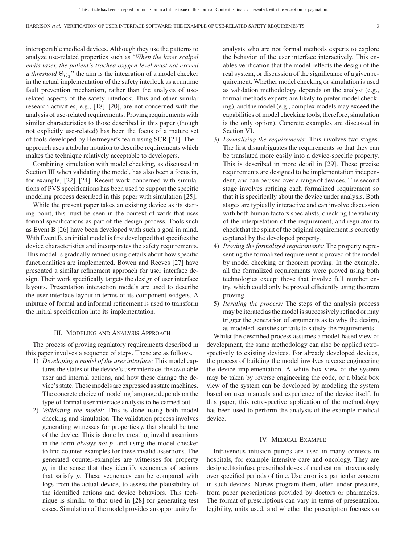interoperable medical devices. Although they use the patterns to analyze use-related properties such as "*When the laser scalpel emits laser, the patient's trachea oxygen level must not exceed a threshold*  $\Theta_{O_2}$ " the aim is the integration of a model checker in the actual implementation of the safety interlock as a runtime fault prevention mechanism, rather than the analysis of userelated aspects of the safety interlock. This and other similar research activities, e.g., [18]–[20], are not concerned with the analysis of use-related requirements. Proving requirements with similar characteristics to those described in this paper (though not explicitly use-related) has been the focus of a mature set of tools developed by Heitmeyer's team using SCR [21]. Their approach uses a tabular notation to describe requirements which makes the technique relatively acceptable to developers.

Combining simulation with model checking, as discussed in Section III when validating the model, has also been a focus in, for example, [22]–[24]. Recent work concerned with simulations of PVS specifications has been used to support the specific modeling process described in this paper with simulation [25].

While the present paper takes an existing device as its starting point, this must be seen in the context of work that uses formal specifications as part of the design process. Tools such as Event B [26] have been developed with such a goal in mind. With Event B, an initial model is first developed that specifies the device characteristics and incorporates the safety requirements. This model is gradually refined using details about how specific functionalities are implemented. Bowen and Reeves [27] have presented a similar refinement approach for user interface design. Their work specifically targets the design of user interface layouts. Presentation interaction models are used to describe the user interface layout in terms of its component widgets. A mixture of formal and informal refinement is used to transform the initial specification into its implementation.

#### III. MODELING AND ANALYSIS APPROACH

The process of proving regulatory requirements described in this paper involves a sequence of steps. These are as follows.

- 1) *Developing a model of the user interface:* This model captures the states of the device's user interface, the available user and internal actions, and how these change the device's state. These models are expressed as state machines. The concrete choice of modeling language depends on the type of formal user interface analysis to be carried out.
- 2) *Validating the model:* This is done using both model checking and simulation. The validation process involves generating witnesses for properties *p* that should be true of the device. This is done by creating invalid assertions in the form *always not p*, and using the model checker to find counter-examples for these invalid assertions. The generated counter-examples are witnesses for property *p*, in the sense that they identify sequences of actions that satisfy *p*. These sequences can be compared with logs from the actual device, to assess the plausibility of the identified actions and device behaviors. This technique is similar to that used in [28] for generating test cases. Simulation of the model provides an opportunity for

analysts who are not formal methods experts to explore the behavior of the user interface interactively. This enables verification that the model reflects the design of the real system, or discussion of the significance of a given requirement. Whether model checking or simulation is used as validation methodology depends on the analyst (e.g., formal methods experts are likely to prefer model checking), and the model (e.g., complex models may exceed the capabilities of model checking tools, therefore, simulation is the only option). Concrete examples are discussed in Section VI.

- 3) *Formalizing the requirements:* This involves two stages. The first disambiguates the requirements so that they can be translated more easily into a device-specific property. This is described in more detail in [29]. These precise requirements are designed to be implementation independent, and can be used over a range of devices. The second stage involves refining each formalized requirement so that it is specifically about the device under analysis. Both stages are typically interactive and can involve discussion with both human factors specialists, checking the validity of the interpretation of the requirement, and regulator to check that the spirit of the original requirement is correctly captured by the developed property.
- 4) *Proving the formalized requirements:* The property representing the formalized requirement is proved of the model by model checking or theorem proving. In the example, all the formalized requirements were proved using both technologies except those that involve full number entry, which could only be proved efficiently using theorem proving.
- 5) *Iterating the process:* The steps of the analysis process may be iterated as the model is successively refined or may trigger the generation of arguments as to why the design, as modeled, satisfies or fails to satisfy the requirements.

Whilst the described process assumes a model-based view of development, the same methodology can also be applied retrospectively to existing devices. For already developed devices, the process of building the model involves reverse engineering the device implementation. A white box view of the system may be taken by reverse engineering the code, or a black box view of the system can be developed by modeling the system based on user manuals and experience of the device itself. In this paper, this retrospective application of the methodology has been used to perform the analysis of the example medical device.

#### IV. MEDICAL EXAMPLE

Intravenous infusion pumps are used in many contexts in hospitals, for example intensive care and oncology. They are designed to infuse prescribed doses of medication intravenously over specified periods of time. Use error is a particular concern in such devices. Nurses program them, often under pressure, from paper prescriptions provided by doctors or pharmacies. The format of prescriptions can vary in terms of presentation, legibility, units used, and whether the prescription focuses on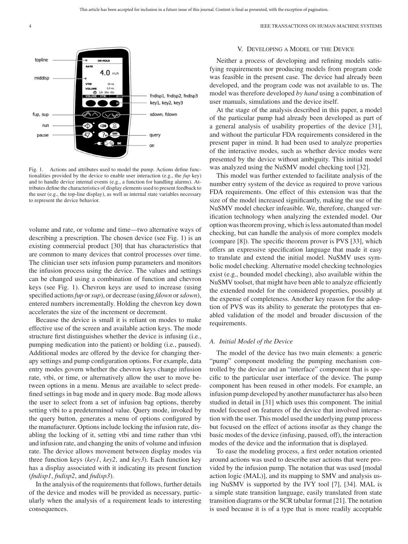

Fig. 1. Actions and attributes used to model the pump. Actions define functionalities provided by the device to enable user interaction (e.g., the *fup* key) and to handle device internal events (e.g., a function for handling alarms). Attributes define the characteristics of display elements used to present feedback to the user (e.g., the top-line display), as well as internal state variables necessary to represent the device behavior.

volume and rate, or volume and time—two alternative ways of describing a prescription. The chosen device (see Fig. 1) is an existing commercial product [30] that has characteristics that are common to many devices that control processes over time. The clinician user sets infusion pump parameters and monitors the infusion process using the device. The values and settings can be changed using a combination of function and chevron keys (see Fig. 1). Chevron keys are used to increase (using specified actions*fup* or*sup*), or decrease (using *fdown* or*sdown*), entered numbers incrementally. Holding the chevron key down accelerates the size of the increment or decrement.

Because the device is small it is reliant on modes to make effective use of the screen and available action keys. The mode structure first distinguishes whether the device is infusing (i.e., pumping medication into the patient) or holding (i.e., paused). Additional modes are offered by the device for changing therapy settings and pump configuration options. For example, data entry modes govern whether the chevron keys change infusion rate, vtbi, or time, or alternatively allow the user to move between options in a menu. Menus are available to select predefined settings in bag mode and in query mode. Bag mode allows the user to select from a set of infusion bag options, thereby setting vtbi to a predetermined value. Query mode, invoked by the query button, generates a menu of options configured by the manufacturer. Options include locking the infusion rate, disabling the locking of it, setting vtbi and time rather than vtbi and infusion rate, and changing the units of volume and infusion rate. The device allows movement between display modes via three function keys (*key1*, *key2*, and *key3*). Each function key has a display associated with it indicating its present function (*fndisp1*, *fndisp2*, and *fndisp3*).

In the analysis of the requirements that follows, further details of the device and modes will be provided as necessary, particularly when the analysis of a requirement leads to interesting consequences.

#### V. DEVELOPING A MODEL OF THE DEVICE

Neither a process of developing and refining models satisfying requirements nor producing models from program code was feasible in the present case. The device had already been developed, and the program code was not available to us. The model was therefore developed *by hand* using a combination of user manuals, simulations and the device itself.

At the stage of the analysis described in this paper, a model of the particular pump had already been developed as part of a general analysis of usability properties of the device [31], and without the particular FDA requirements considered in the present paper in mind. It had been used to analyze properties of the interactive modes, such as whether device modes were presented by the device without ambiguity. This initial model was analyzed using the NuSMV model checking tool [32].

This model was further extended to facilitate analysis of the number entry system of the device as required to prove various FDA requirements. One effect of this extension was that the size of the model increased significantly, making the use of the NuSMV model checker infeasible. We, therefore, changed verification technology when analyzing the extended model. Our option was theorem proving, which is less automated than model checking, but can handle the analysis of more complex models (compare [8]). The specific theorem prover is PVS [33], which offers an expressive specification language that made it easy to translate and extend the initial model. NuSMV uses symbolic model checking. Alternative model checking technologies exist (e.g., bounded model checking), also available within the NuSMV toolset, that might have been able to analyze efficiently the extended model for the considered properties, possibly at the expense of completeness. Another key reason for the adoption of PVS was its ability to generate the prototypes that enabled validation of the model and broader discussion of the requirements.

#### *A. Initial Model of the Device*

The model of the device has two main elements: a generic "pump" component modeling the pumping mechanism controlled by the device and an "interface" component that is specific to the particular user interface of the device. The pump component has been reused in other models. For example, an infusion pump developed by another manufacturer has also been studied in detail in [31] which uses this component. The initial model focused on features of the device that involved interaction with the user. This model used the underlying pump process but focused on the effect of actions insofar as they change the basic modes of the device (infusing, paused, off), the interaction modes of the device and the information that is displayed.

To ease the modeling process, a first order notation oriented around actions was used to describe user actions that were provided by the infusion pump. The notation that was used [modal action logic (MAL)], and its mapping to SMV and analysis using NuSMV is supported by the IVY tool [7], [34]. MAL is a simple state transition language, easily translated from state transition diagrams or the SCR tabular format [21]. The notation is used because it is of a type that is more readily acceptable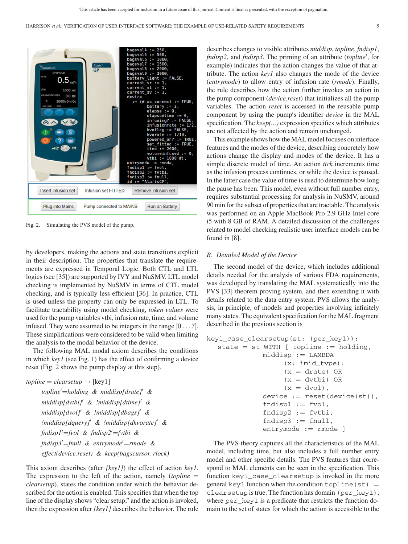

Fig. 2. Simulating the PVS model of the pump.

by developers, making the actions and state transitions explicit in their description. The properties that translate the requirements are expressed in Temporal Logic. Both CTL and LTL logics (see [35]) are supported by IVY and NuSMV. LTL model checking is implemented by NuSMV in terms of CTL model checking, and is typically less efficient [36]. In practice, CTL is used unless the property can only be expressed in LTL. To facilitate tractability using model checking, *token values* were used for the pump variables vtbi, infusion rate, time, and volume infused. They were assumed to be integers in the range [0 *...* 7]. These simplifications were considered to be valid when limiting the analysis to the modal behavior of the device.

The following MAL modal axiom describes the conditions in which *key1* (see Fig. 1) has the effect of confirming a device reset (Fig. 2 shows the pump display at this step).

```
topline = clearsetup \rightarrow [key1]topline
=holding & middisp[drate] &
     middisp[dvtbi] & !middisp[dtime] &
     middisp[dvol] & !middisp[dbags] &
     !middisp[dquery] & !middisp[dkvorate] &
     fndisp1
=fvol & fndisp2
=fvtbi &
     fndisp3
=fnull & entrymode
=rmode &
     effect(device.reset) & keep(bagscursor, rlock)
```
This axiom describes (after *[key1]*) the effect of action *key1*. The expression to the left of the action, namely (*topline* = *clearsetup*), states the condition under which the behavior described for the action is enabled. This specifies that when the top line of the display shows "clear setup," and the action is invoked, then the expression after *[key1]* describes the behavior. The rule

describes changes to visible attributes *middisp*, *topline*, *fndisp1*, *fndisp2*, and *fndisp3*. The priming of an attribute (*topline* , for example) indicates that the action changes the value of that attribute. The action *key1* also changes the mode of the device (*entrymode*) to allow entry of infusion rate (*rmode*). Finally, the rule describes how the action further invokes an action in the pump component (*device.reset*) that initializes all the pump variables. The action *reset* is accessed in the reusable pump component by using the pump s identifier *device* in the MAL specification. The *keep(...)* expression specifies which attributes are not affected by the action and remain unchanged.

This example shows how the MAL model focuses on interface features and the modes of the device, describing concretely how actions change the display and modes of the device. It has a simple discrete model of time. An action *tick* increments time as the infusion process continues, or while the device is paused. In the latter case the value of time is used to determine how long the pause has been. This model, even without full number entry, requires substantial processing for analysis in NuSMV, around 90 min for the subset of properties that are tractable. The analysis was performed on an Apple MacBook Pro 2.9 GHz Intel core i5 with 8 GB of RAM. A detailed discussion of the challenges related to model checking realistic user interface models can be found in [8].

#### *B. Detailed Model of the Device*

The second model of the device, which includes additional details needed for the analysis of various FDA requirements, was developed by translating the MAL systematically into the PVS [33] theorem proving system, and then extending it with details related to the data entry system. PVS allows the analysis, in principle, of models and properties involving infinitely many states. The equivalent specification for the MAL fragment described in the previous section is

```
key1_case_clearsetup(st: (per_key1)):
  state = st WITH [ topline := holding,
             middisp := LAMBDA(x: imid_type):
                   (x = drate) OR
                   (x = dytbi) OR
                   (x = dvol),
             device := reset(device(st)),
             fndisp1 := fvol,fndisp2 := fvtbi,fndisp3 := full,entrymode := rmode ]
```
The PVS theory captures all the characteristics of the MAL model, including time, but also includes a full number entry model and other specific details. The PVS features that correspond to MAL elements can be seen in the specification. This function key1\_case\_clearsetup is invoked in the more general key1 function when the condition  $topline(s_t) =$ clearsetup is true. The function has domain (per\_key1), where per key1 is a predicate that restricts the function domain to the set of states for which the action is accessible to the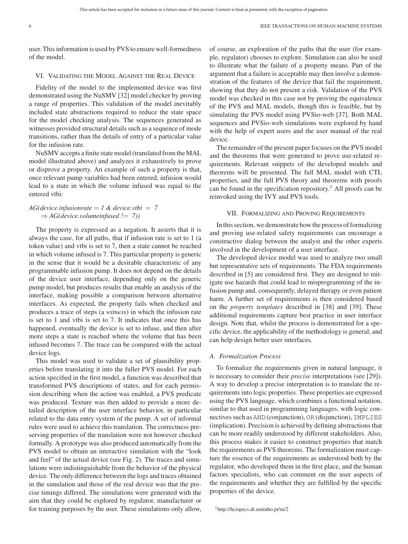user. This information is used by PVS to ensure well-formedness of the model.

#### VI. VALIDATING THE MODEL AGAINST THE REAL DEVICE

Fidelity of the model to the implemented device was first demonstrated using the NuSMV [32] model checker by proving a range of properties. This validation of the model inevitably included state abstractions required to reduce the state space for the model checking analysis. The sequences generated as witnesses provided structural details such as a sequence of mode transitions, rather than the details of entry of a particular value for the infusion rate.

NuSMV accepts a finite state model (translated from the MAL model illustrated above) and analyzes it exhaustively to prove or disprove a property. An example of such a property is that, once relevant pump variables had been entered, infusion would lead to a state in which the volume infused was equal to the entered vtbi:

#### $AG(device.infusionrate = 1 & device.vibi = 7$  $\Rightarrow$  *AG*(*device.volumeinfused !* = 7))

The property is expressed as a negation. It asserts that it is always the case, for all paths, that if infusion rate is set to 1 (a token value) and vtbi is set to 7, then a state cannot be reached in which volume infused is 7. This particular property is generic in the sense that it would be a desirable characteristic of any programmable infusion pump. It does not depend on the details of the device user interface, depending only on the generic pump model, but produces results that enable an analysis of the interface, making possible a comparison between alternative interfaces. As expected, the property fails when checked and produces a trace of steps (a *witness*) in which the infusion rate is set to 1 and vtbi is set to 7. It indicates that once this has happened, eventually the device is set to infuse, and then after more steps a state is reached where the volume that has been infused becomes 7. The trace can be compared with the actual device logs.

This model was used to validate a set of plausibility properties before translating it into the fuller PVS model. For each action specified in the first model, a function was described that transformed PVS descriptions of states, and for each permission describing when the action was enabled, a PVS predicate was produced. Texture was then added to provide a more detailed description of the user interface behavior, in particular related to the data entry system of the pump. A set of informal rules were used to achieve this translation. The correctness preserving properties of the translation were not however checked formally. A prototype was also produced automatically from the PVS model to obtain an interactive simulation with the "look and feel" of the actual device (see Fig. 2). The traces and simulations were indistinguishable from the behavior of the physical device. The only difference between the logs and traces obtained in the simulation and those of the real device was that the precise timings differed. The simulations were generated with the aim that they could be explored by regulator, manufacturer or for training purposes by the user. These simulations only allow,

of course, an exploration of the paths that the user (for example, regulator) chooses to explore. Simulation can also be used to illustrate what the failure of a property means. Part of the argument that a failure is acceptable may then involve a demonstration of the features of the device that fail the requirement, showing that they do not present a risk. Validation of the PVS model was checked in this case not by proving the equivalence of the PVS and MAL models, though this is feasible, but by simulating the PVS model using PVSio-web [37]. Both MAL sequences and PVSio-web simulations were explored by hand with the help of expert users and the user manual of the real device.

The remainder of the present paper focuses on the PVS model and the theorems that were generated to prove use-related requirements. Relevant snippets of the developed models and theorems will be presented. The full MAL model with CTL properties, and the full PVS theory and theorems with proofs can be found in the specification repository.<sup>1</sup> All proofs can be reinvoked using the IVY and PVS tools.

#### VII. FORMALIZING AND PROVING REQUIREMENTS

In this section, we demonstrate how the process of formalizing and proving use-related safety requirements can encourage a constructive dialog between the analyst and the other experts involved in the development of a user interface.

The developed device model was used to analyze two small but representative sets of requirements. The FDA requirements described in [5] are considered first. They are designed to mitigate use hazards that could lead to misprogramming of the infusion pump and, consequently, delayed therapy or even patient harm. A further set of requirements is then considered based on the *property templates* described in [38] and [39]. These additional requirements capture best practice in user interface design. Note that, whilst the process is demonstrated for a specific device, the applicability of the methodology is general, and can help design better user interfaces.

#### *A. Formalization Process*

To formalize the requirements given in natural language, it is necessary to consider their *precise* interpretations (see [29]). A way to develop a precise interpretation is to translate the requirements into logic properties. These properties are expressed using the PVS language, which combines a functional notation, similar to that used in programming languages, with logic connectives such as AND (conjunction), OR (disjunction), IMPLIES (implication). Precision is achieved by defining abstractions that can be more readily understood by different stakeholders. Also, this process makes it easier to construct properties that match the requirements as PVS theorems. The formalization must capture the essence of the requirements as understood both by the regulator, who developed them in the first place, and the human factors specialists, who can comment on the user aspects of the requirements and whether they are fulfilled by the specific properties of the device.

<sup>1</sup>http://hcispecs.di.uminho.pt/m/2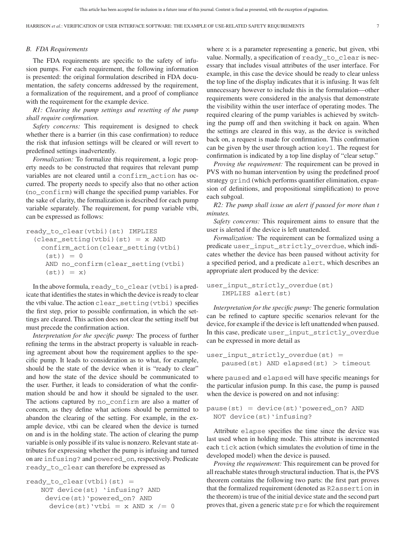#### *B. FDA Requirements*

The FDA requirements are specific to the safety of infusion pumps. For each requirement, the following information is presented: the original formulation described in FDA documentation, the safety concerns addressed by the requirement, a formalization of the requirement, and a proof of compliance with the requirement for the example device.

*R1: Clearing the pump settings and resetting of the pump shall require confirmation.*

*Safety concerns:* This requirement is designed to check whether there is a barrier (in this case confirmation) to reduce the risk that infusion settings will be cleared or will revert to predefined settings inadvertently.

*Formalization:* To formalize this requirement, a logic property needs to be constructed that requires that relevant pump variables are not cleared until a confirm\_action has occurred. The property needs to specify also that no other action (no\_confirm) will change the specified pump variables. For the sake of clarity, the formalization is described for each pump variable separately. The requirement, for pump variable vtbi, can be expressed as follows:

```
ready_to_clear(vtbi)(st) IMPLIES
 (clear setting(vtbi)(st) = x AND
   confirm_action(clear_setting(vtbi)
    (st) ) = 0
    AND no_confirm(clear_setting(vtbi)
     (st)) = x)
```
In the above formula, ready\_to\_clear(vtbi) is a predicate that identifies the states in which the device is ready to clear the vtbi value. The action clear\_setting(vtbi) specifies the first step, prior to possible confirmation, in which the settings are cleared. This action does not clear the setting itself but must precede the confirmation action.

*Interpretation for the specific pump:* The process of further refining the terms in the abstract property is valuable in reaching agreement about how the requirement applies to the specific pump. It leads to consideration as to what, for example, should be the state of the device when it is "ready to clear" and how the state of the device should be communicated to the user. Further, it leads to consideration of what the confirmation should be and how it should be signaled to the user. The actions captured by no\_confirm are also a matter of concern, as they define what actions should be permitted to abandon the clearing of the setting. For example, in the example device, vtbi can be cleared when the device is turned on and is in the holding state. The action of clearing the pump variable is only possible if its value is nonzero. Relevant state attributes for expressing whether the pump is infusing and turned on are infusing? and powered\_on, respectively. Predicate ready\_to\_clear can therefore be expressed as

```
ready_to_clear(vthi) (st) =
   NOT device(st) 'infusing? AND
    device(st)'powered_on? AND
     device(st)'vtbi = x AND x /= 0
```
where x is a parameter representing a generic, but given, vtbi value. Normally, a specification of ready\_to\_clear is necessary that includes visual attributes of the user interface. For example, in this case the device should be ready to clear unless the top line of the display indicates that it is infusing. It was felt unnecessary however to include this in the formulation—other requirements were considered in the analysis that demonstrate the visibility within the user interface of operating modes. The required clearing of the pump variables is achieved by switching the pump off and then switching it back on again. When the settings are cleared in this way, as the device is switched back on, a request is made for confirmation. This confirmation can be given by the user through action key1. The request for confirmation is indicated by a top line display of "clear setup."

*Proving the requirement:* The requirement can be proved in PVS with no human intervention by using the predefined proof strategy grind (which performs quantifier elimination, expansion of definitions, and propositional simplification) to prove each subgoal.

*R2: The pump shall issue an alert if paused for more than t minutes.*

*Safety concerns:* This requirement aims to ensure that the user is alerted if the device is left unattended.

*Formalization:* The requirement can be formalized using a predicate user\_input\_strictly\_overdue, which indicates whether the device has been paused without activity for a specified period, and a predicate alert, which describes an appropriate alert produced by the device:

user\_input\_strictly\_overdue(st) IMPLIES alert(st)

*Interpretation for the specific pump:* The generic formulation can be refined to capture specific scenarios relevant for the device, for example if the device is left unattended when paused. In this case, predicate user\_input\_strictly\_overdue can be expressed in more detail as

```
user\_input\_strictly\_overlap (st) =paused(st) AND elapsed(st) > timeout
```
where paused and elapsed will have specific meanings for the particular infusion pump. In this case, the pump is paused when the device is powered on and not infusing:

```
pause(st) = device(st)'powered_on? AND
 NOT device(st)'infusing?
```
Attribute elapse specifies the time since the device was last used when in holding mode. This attribute is incremented each tick action (which simulates the evolution of time in the developed model) when the device is paused.

*Proving the requirement:* This requirement can be proved for all reachable states through structural induction. That is, the PVS theorem contains the following two parts: the first part proves that the formalized requirement (denoted as R2assertion in the theorem) is true of the initial device state and the second part proves that, given a generic state pre for which the requirement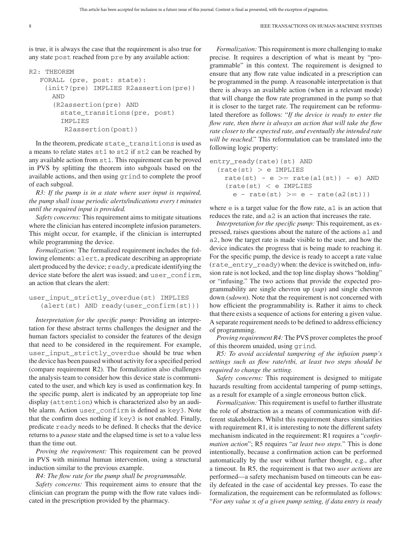is true, it is always the case that the requirement is also true for any state post reached from pre by any available action:

```
R2: THEOREM
  FORALL (pre, post: state):
    (init?(pre) IMPLIES R2assertion(pre))
     AND
      (R2assertion(pre) AND
        state_transitions(pre, post)
        IMPLIES
         R2assertion(post))
```
In the theorem, predicate state\_transitions is used as a means to relate states st1 to st2 if st2 can be reached by any available action from st1. This requirement can be proved in PVS by splitting the theorem into subgoals based on the available actions, and then using grind to complete the proof of each subgoal.

*R3: If the pump is in a state where user input is required, the pump shall issue periodic alerts/indications every t minutes until the required input is provided.*

*Safety concerns:* This requirement aims to mitigate situations where the clinician has entered incomplete infusion parameters. This might occur, for example, if the clinician is interrupted while programming the device.

*Formalization:* The formalized requirement includes the following elements: alert, a predicate describing an appropriate alert produced by the device; ready, a predicate identifying the device state before the alert was issued; and user\_confirm, an action that clears the alert:

```
user_input_strictly_overdue(st) IMPLIES
   (alert(st) AND ready(user_confirm(st)))
```
*Interpretation for the specific pump:* Providing an interpretation for these abstract terms challenges the designer and the human factors specialist to consider the features of the design that need to be considered in the requirement. For example, user\_input\_strictly\_overdue should be true when the device has been paused without activity for a specified period (compare requirement R2). The formalization also challenges the analysis team to consider how this device state is communicated to the user, and which key is used as confirmation key. In the specific pump, alert is indicated by an appropriate top line display (attention) which is characterized also by an audible alarm. Action user\_confirm is defined as key3. Note that the confirm does nothing if key3 is not enabled. Finally, predicate ready needs to be defined. It checks that the device returns to a *pause* state and the elapsed time is set to a value less than the time out.

*Proving the requirement:* This requirement can be proved in PVS with minimal human intervention, using a structural induction similar to the previous example.

*R4: The flow rate for the pump shall be programmable.*

*Safety concerns:* This requirement aims to ensure that the clinician can program the pump with the flow rate values indicated in the prescription provided by the pharmacy.

*Formalization:* This requirement is more challenging to make precise. It requires a description of what is meant by "programmable" in this context. The requirement is designed to ensure that any flow rate value indicated in a prescription can be programmed in the pump. A reasonable interpretation is that there is always an available action (when in a relevant mode) that will change the flow rate programmed in the pump so that it is closer to the target rate. The requirement can be reformulated therefore as follows: "*If the device is ready to enter the flow rate, then there is always an action that will take the flow rate closer to the expected rate, and eventually the intended rate will be reached*." This reformulation can be translated into the following logic property:

```
entry_ready(rate)(st) AND
  (rate(st) > e IMPLIES
   rate(st) - e >= rate(a1(st)) - e) AND
   (rate(st) < e IMPLIES
     e - rate(st) >= e - rate(a2(st)))
```
where  $e$  is a target value for the flow rate,  $a1$  is an action that reduces the rate, and a2 is an action that increases the rate.

*Interpretation for the specific pump:* This requirement, as expressed, raises questions about the nature of the actions a1 and a2, how the target rate is made visible to the user, and how the device indicates the progress that is being made to reaching it. For the specific pump, the device is ready to accept a rate value (rate\_entry\_ready) when: the device is switched on, infusion rate is not locked, and the top line display shows "holding" or "infusing." The two actions that provide the expected programmability are single chevron up (*sup*) and single chevron down (*sdown*). Note that the requirement is not concerned with how efficient the programmability is. Rather it aims to check that there exists a sequence of actions for entering a given value. A separate requirement needs to be defined to address efficiency of programming.

*Proving requirement R4:* The PVS prover completes the proof of this theorem unaided, using grind.

*R5: To avoid accidental tampering of the infusion pump's settings such as flow rate/vtbi, at least two steps should be required to change the setting.*

*Safety concerns:* This requirement is designed to mitigate hazards resulting from accidental tampering of pump settings, as a result for example of a single erroneous button click.

*Formalization:* This requirement is useful to further illustrate the role of abstraction as a means of communication with different stakeholders. Whilst this requirement shares similarities with requirement R1, it is interesting to note the different safety mechanism indicated in the requirement: R1 requires a "*confirmation action*"; R5 requires "*at least two steps.*" This is done intentionally, because a confirmation action can be performed automatically by the user without further thought, e.g., after a timeout. In R5, the requirement is that two *user actions* are performed—a safety mechanism based on timeouts can be easily defeated in the case of accidental key presses. To ease the formalization, the requirement can be reformulated as follows: "*For any value* x *of a given pump setting, if data entry is ready*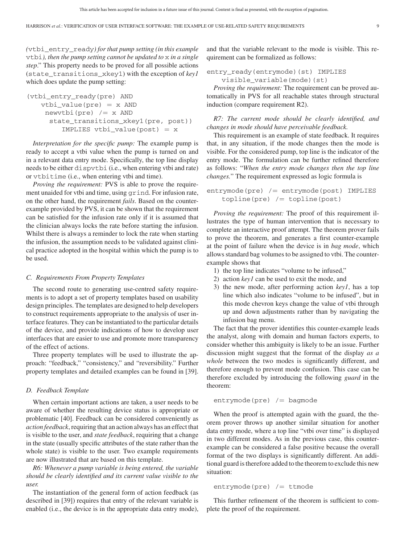*(*vtbi\_entry\_ready*) for that pump setting (in this example* vtbi*), then the pump setting cannot be updated to* x *in a single step*." This property needs to be proved for all possible actions (state\_transitions\_xkey1) with the exception of *key1* which does update the pump setting:

```
(vtbi_entry_ready(pre) AND
   vtbi_value(pre) = x ANDnewvtbi(pre) /= x AND
     state_transitions_xkey1(pre, post))
        IMPLIES vtbi value(post) = x
```
*Interpretation for the specific pump:* The example pump is ready to accept a vtbi value when the pump is turned on and in a relevant data entry mode. Specifically, the top line display needs to be either dispvtbi (i.e., when entering vtbi and rate) or vtbitime (i.e., when entering vtbi and time).

*Proving the requirement:* PVS is able to prove the requirement unaided for vtbi and time, using grind. For infusion rate, on the other hand, the requirement *fails*. Based on the counterexample provided by PVS, it can be shown that the requirement can be satisfied for the infusion rate only if it is assumed that the clinician always locks the rate before starting the infusion. Whilst there is always a reminder to lock the rate when starting the infusion, the assumption needs to be validated against clinical practice adopted in the hospital within which the pump is to be used.

#### *C. Requirements From Property Templates*

The second route to generating use-centred safety requirements is to adopt a set of property templates based on usability design principles. The templates are designed to help developers to construct requirements appropriate to the analysis of user interface features. They can be instantiated to the particular details of the device, and provide indications of how to develop user interfaces that are easier to use and promote more transparency of the effect of actions.

Three property templates will be used to illustrate the approach: "feedback," "consistency," and "reversibility." Further property templates and detailed examples can be found in [39].

#### *D. Feedback Template*

When certain important actions are taken, a user needs to be aware of whether the resulting device status is appropriate or problematic [40]. Feedback can be considered conveniently as *action feedback*, requiring that an action always has an effect that is visible to the user, and *state feedback*, requiring that a change in the state (usually specific attributes of the state rather than the whole state) is visible to the user. Two example requirements are now illustrated that are based on this template.

*R6: Whenever a pump variable is being entered, the variable should be clearly identified and its current value visible to the user.*

The instantiation of the general form of action feedback (as described in [39]) requires that entry of the relevant variable is enabled (i.e., the device is in the appropriate data entry mode), and that the variable relevant to the mode is visible. This requirement can be formalized as follows:

entry\_ready(entrymode)(st) IMPLIES visible\_variable(mode)(st)

*Proving the requirement:* The requirement can be proved automatically in PVS for all reachable states through structural induction (compare requirement R2).

*R7: The current mode should be clearly identified, and changes in mode should have perceivable feedback.*

This requirement is an example of state feedback. It requires that, in any situation, if the mode changes then the mode is visible. For the considered pump, top line is the indicator of the entry mode. The formulation can be further refined therefore as follows: "*When the entry mode changes then the top line changes.*" The requirement expressed as logic formula is

```
entrymode(pre) /= entrymode(post) IMPLIES
   topline(pre) /= topline(post)
```
*Proving the requirement:* The proof of this requirement illustrates the type of human intervention that is necessary to complete an interactive proof attempt. The theorem prover fails to prove the theorem, and generates a first counter-example at the point of failure when the device is in *bag mode*, which allows standard bag volumes to be assigned to vtbi. The counterexample shows that

- 1) the top line indicates "volume to be infused,"
- 2) action *key1* can be used to exit the mode, and
- 3) the new mode, after performing action *key1*, has a top line which also indicates "volume to be infused", but in this mode chevron keys change the value of vtbi through up and down adjustments rather than by navigating the infusion bag menu.

The fact that the prover identifies this counter-example leads the analyst, along with domain and human factors experts, to consider whether this ambiguity is likely to be an issue. Further discussion might suggest that the format of the display *as a whole* between the two modes is significantly different, and therefore enough to prevent mode confusion. This case can be therefore excluded by introducing the following *guard* in the theorem:

entrymode(pre) /= bagmode

When the proof is attempted again with the guard, the theorem prover throws up another similar situation for another data entry mode, where a top line "vtbi over time" is displayed in two different modes. As in the previous case, this counterexample can be considered a false positive because the overall format of the two displays is significantly different. An additional guard is therefore added to the theorem to exclude this new situation:

entrymode(pre) /= ttmode

This further refinement of the theorem is sufficient to complete the proof of the requirement.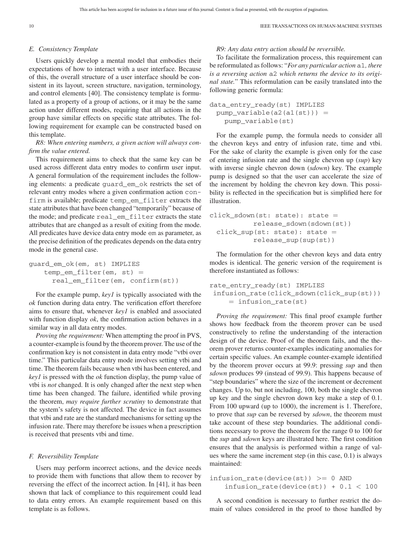#### *E. Consistency Template*

Users quickly develop a mental model that embodies their expectations of how to interact with a user interface. Because of this, the overall structure of a user interface should be consistent in its layout, screen structure, navigation, terminology, and control elements [40]. The consistency template is formulated as a property of a group of actions, or it may be the same action under different modes, requiring that all actions in the group have similar effects on specific state attributes. The following requirement for example can be constructed based on this template.

*R8: When entering numbers, a given action will always confirm the value entered.*

This requirement aims to check that the same key can be used across different data entry modes to confirm user input. A general formulation of the requirement includes the following elements: a predicate guard\_em\_ok restricts the set of relevant entry modes where a given confirmation action confirm is available; predicate temp\_em\_filter extracts the state attributes that have been changed "temporarily" because of the mode; and predicate real\_em\_filter extracts the state attributes that are changed as a result of exiting from the mode. All predicates have device data entry mode em as parameter, as the precise definition of the predicates depends on the data entry mode in the general case.

guard\_em\_ok(em, st) IMPLIES temp\_em\_filter(em, st) = real\_em\_filter(em, confirm(st))

For the example pump, *key1* is typically associated with the *ok* function during data entry. The verification effort therefore aims to ensure that, whenever *key1* is enabled and associated with function display *ok*, the confirmation action behaves in a similar way in all data entry modes.

*Proving the requirement:* When attempting the proof in PVS, a counter-example is found by the theorem prover. The use of the confirmation key is not consistent in data entry mode "vtbi over time." This particular data entry mode involves setting vtbi and time. The theorem fails because when vtbi has been entered, and *key1* is pressed with the *ok* function display, the pump value of vtbi is *not* changed. It is only changed after the next step when time has been changed. The failure, identified while proving the theorem, *may require further scrutiny* to demonstrate that the system's safety is not affected. The device in fact assumes that vtbi and rate are the standard mechanisms for setting up the infusion rate. There may therefore be issues when a prescription is received that presents vtbi and time.

#### *F. Reversibility Template*

Users may perform incorrect actions, and the device needs to provide them with functions that allow them to recover by reversing the effect of the incorrect action. In [41], it has been shown that lack of compliance to this requirement could lead to data entry errors. An example requirement based on this template is as follows.

#### *R9: Any data entry action should be reversible.*

To facilitate the formalization process, this requirement can be reformulated as follows: "*For any particular action* a1*, there is a reversing action* a2 *which returns the device to its original state.*" This reformulation can be easily translated into the following generic formula:

data\_entry\_ready(st) IMPLIES  $pump\_variable(a2(a1(st))) =$ pump\_variable(st)

For the example pump, the formula needs to consider all the chevron keys and entry of infusion rate, time and vtbi. For the sake of clarity the example is given only for the case of entering infusion rate and the single chevron up (*sup*) key with inverse single chevron down (*sdown*) key. The example pump is designed so that the user can accelerate the size of the increment by holding the chevron key down. This possibility is reflected in the specification but is simplified here for illustration.

 $click_s$ down(st: state): state = release\_sdown(sdown(st)) click sup(st: state): state = release\_sup(sup(st))

The formulation for the other chevron keys and data entry modes is identical. The generic version of the requirement is therefore instantiated as follows:

```
rate_entry_ready(st) IMPLIES
 infusion_rate(click_sdown(click_sup(st)))
    = infusion_rate(st)
```
*Proving the requirement:* This final proof example further shows how feedback from the theorem prover can be used constructively to refine the understanding of the interaction design of the device. Proof of the theorem fails, and the theorem prover returns counter-examples indicating anomalies for certain specific values. An example counter-example identified by the theorem prover occurs at 99.9: pressing *sup* and then *sdown* produces 99 (instead of 99.9). This happens because of "step boundaries" where the size of the increment or decrement changes. Up to, but not including, 100, both the single chevron up key and the single chevron down key make a step of 0.1. From 100 upward (up to 1000), the increment is 1. Therefore, to prove that *sup* can be reversed by *sdown*, the theorem must take account of these step boundaries. The additional conditions necessary to prove the theorem for the range 0 to 100 for the *sup* and *sdown* keys are illustrated here. The first condition ensures that the analysis is performed within a range of values where the same increment step (in this case, 0.1) is always maintained:

```
infusion_rate(device(st)) >= 0 AND
   infusion_rate(device(st)) + 0.1 < 100
```
A second condition is necessary to further restrict the domain of values considered in the proof to those handled by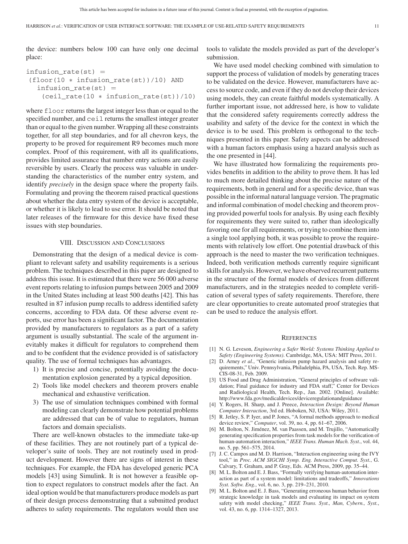the device: numbers below 100 can have only one decimal place:

```
infusion_rate(st) =(floor(10 ∗ infusion_rate(st))/10) AND
  infusion rate(st) =
    (ceil_rate(10 ∗ infusion_rate(st))/10)
```
where floor returns the largest integer less than or equal to the specified number, and ceil returns the smallest integer greater than or equal to the given number. Wrapping all these constraints together, for all step boundaries, and for all chevron keys, the property to be proved for requirement R9 becomes much more complex. Proof of this requirement, with all its qualifications, provides limited assurance that number entry actions are easily reversible by users. Clearly the process was valuable in understanding the characteristics of the number entry system, and identify *precisely* in the design space where the property fails. Formulating and proving the theorem raised practical questions about whether the data entry system of the device is acceptable, or whether it is likely to lead to use error. It should be noted that later releases of the firmware for this device have fixed these issues with step boundaries.

#### VIII. DISCUSSION AND CONCLUSIONS

Demonstrating that the design of a medical device is compliant to relevant safety and usability requirements is a serious problem. The techniques described in this paper are designed to address this issue. It is estimated that there were 56 000 adverse event reports relating to infusion pumps between 2005 and 2009 in the United States including at least 500 deaths [42]. This has resulted in 87 infusion pump recalls to address identified safety concerns, according to FDA data. Of these adverse event reports, use error has been a significant factor. The documentation provided by manufacturers to regulators as a part of a safety argument is usually substantial. The scale of the argument inevitably makes it difficult for regulators to comprehend them and to be confident that the evidence provided is of satisfactory quality. The use of formal techniques has advantages.

- 1) It is precise and concise, potentially avoiding the documentation explosion generated by a typical deposition.
- 2) Tools like model checkers and theorem provers enable mechanical and exhaustive verification.
- 3) The use of simulation techniques combined with formal modeling can clearly demonstrate how potential problems are addressed that can be of value to regulators, human factors and domain specialists.

There are well-known obstacles to the immediate take-up of these facilities. They are not routinely part of a typical developer's suite of tools. They are not routinely used in product development. However there are signs of interest in these techniques. For example, the FDA has developed generic PCA models [43] using Simulink. It is not however a feasible option to expect regulators to construct models after the fact. An ideal option would be that manufacturers produce models as part of their design process demonstrating that a submitted product adheres to safety requirements. The regulators would then use

tools to validate the models provided as part of the developer's submission.

We have used model checking combined with simulation to support the process of validation of models by generating traces to be validated on the device. However, manufacturers have access to source code, and even if they do not develop their devices using models, they can create faithful models systematically. A further important issue, not addressed here, is how to validate that the considered safety requirements correctly address the usability and safety of the device for the context in which the device is to be used. This problem is orthogonal to the techniques presented in this paper. Safety aspects can be addressed with a human factors emphasis using a hazard analysis such as the one presented in [44].

We have illustrated how formalizing the requirements provides benefits in addition to the ability to prove them. It has led to much more detailed thinking about the precise nature of the requirements, both in general and for a specific device, than was possible in the informal natural language version. The pragmatic and informal combination of model checking and theorem proving provided powerful tools for analysis. By using each flexibly for requirements they were suited to, rather than ideologically favoring one for all requirements, or trying to combine them into a single tool applying both, it was possible to prove the requirements with relatively low effort. One potential drawback of this approach is the need to master the two verification techniques. Indeed, both verification methods currently require significant skills for analysis. However, we have observed recurrent patterns in the structure of the formal models of devices from different manufacturers, and in the strategies needed to complete verification of several types of safety requirements. Therefore, there are clear opportunities to create automated proof strategies that can be used to reduce the analysis effort.

#### **REFERENCES**

- [1] N. G. Leveson, *Engineering a Safer World: Systems Thinking Applied to Safety (Engineering Systems)*. Cambridge, MA, USA: MIT Press, 2011.
- [2] D. Arney *et al.*, "Generic infusion pump hazard analysis and safety requirements," Univ. Pennsylvania, Philadelphia, PA, USA, Tech. Rep. MS-CIS-08-31, Feb. 2009.
- [3] US Food and Drug Administration, "General principles of software validation; Final guidance for industry and FDA staff," Center for Devices and Radiological Health, Tech. Rep., Jan. 2002. [Online]. Available: http://www.fda.gov/medicaldevices/deviceregulationandguidance
- [4] Y. Rogers, H. Sharp, and J. Preece, *Interaction Design: Beyond Human Computer Interaction*, 3rd ed. Hoboken, NJ, USA: Wiley, 2011.
- [5] R. Jetley, S. P. Iyer, and P. Jones, "A formal methods approach to medical device review," *Computer*, vol. 39, no. 4, pp. 61–67, 2006.
- [6] M. Bolton, N. Jiménez, M. van Paassen, and M. Trujillo, "Automatically generating specification properties from task models for the verification of human-automation interaction," *IEEE Trans. Human Mach. Syst.*, vol. 44, no. 5, pp. 561–575, 2014.
- [7] J. C. Campos and M. D. Harrison, "Interaction engineering using the IVY tool," in *Proc. ACM SIGCHI Symp. Eng. Interactive Comput. Syst.*, G. Calvary, T. Graham, and P. Gray, Eds. ACM Press, 2009, pp. 35–44.
- [8] M. L. Bolton and E. J. Bass, "Formally verifying human-automation interaction as part of a system model: limitations and tradeoffs," *Innovations Syst. Softw. Eng.*, vol. 6, no. 3, pp. 219–231, 2010.
- [9] M. L. Bolton and E. J. Bass, "Generating erroneous human behavior from strategic knowledge in task models and evaluating its impact on system safety with model checking," *IEEE Trans. Syst., Man, Cybern., Syst.*, vol. 43, no. 6, pp. 1314–1327, 2013.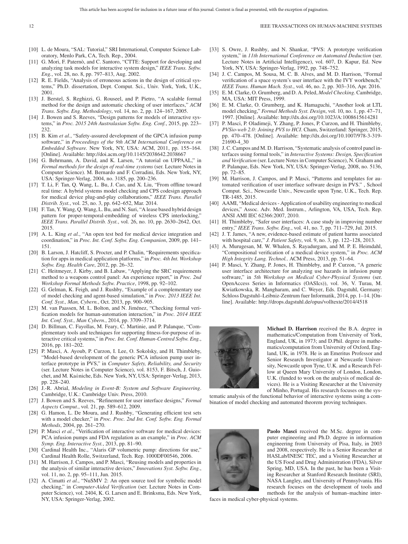- [10] L. de Moura, "SAL: Tutorial," SRI International, Computer Science Laboratory, Menlo Park, CA, Tech. Rep., 2004.
- [11] G. Mori, F. Paternò, and C. Santoro, "CTTE: Support for developing and analyzing task models for interactive system design," *IEEE Trans. Softw. Eng.*, vol. 28, no. 8, pp. 797–813, Aug. 2002.
- [12] R. E. Fields, "Analysis of erroneous actions in the design of critical systems," Ph.D. dissertation, Dept. Comput. Sci., Univ. York, York, U.K., 2001.
- [13] J. Berstel, S. Reghizzi, G. Rouseel, and P. Pietro, "A scalable formal method for the design and automatic checking of user interfaces," *ACM Trans. Softw. Eng. Methodology*, vol. 14, no. 2, pp. 124–167, 2005.
- [14] J. Bowen and S. Reeves, "Design patterns for models of interactive systems," in *Proc. 2015 24th Australasian Softw. Eng. Conf.*, 2015, pp. 223– 232.
- [15] B. Kim *et al.*, "Safety-assured development of the GPCA infusion pump software," in *Proceedings of the 9th ACM International Conference on Embedded Software.* New York, NY, USA: ACM, 2011, pp. 155–164. [Online]. Available: http://doi.acm.org/10.1145/2038642.2038667
- [16] G. Behrmann, A. David, and K. Larsen, "A tutorial on UPPAAL," in *Formal methods for the design of real-time systems* (ser. Lecture Notes in Computer Science). M. Bernardo and F. Corradini, Eds. New York, NY, USA: Springer-Verlag, 2004, no. 3185, pp. 200–236.
- [17] T. Li, F. Tan, Q. Wang, L. Bu, J. Cao, and X. Liu, "From offline toward real time: A hybrid systems model checking and CPS codesign approach for medical device plug-and-play collaborations," *IEEE Trans. Parallel Distrib. Syst.*, vol. 25, no. 3, pp. 642–652, Mar. 2014.
- [18] F. Tan, Y. Wang, Q. Wang, L. Bu, and N. Suri, "A lease based hybrid design pattern for proper-temporal-embedding of wireless CPS interlocking," *IEEE Trans. Parallel Distrib. Syst.*, vol. 26, no. 10, pp. 2630–2642, Oct. 2015.
- [19] A. L. King *et al.*, "An open test bed for medical device integration and coordination," in *Proc. Int. Conf. Softw. Eng. Companion*, 2009, pp. 141– 151.
- [20] B. Larson, J. Hatcliff, S. Procter, and P. Chalin, "Requirements specification for apps in medical application platforms," in *Proc. 4th Int. Workshop Softw. Eng. Health Care*, 2012, pp. 26–32.
- [21] C. Heitmeyer, J. Kirby, and B. Labaw, "Applying the SRC requirements method to a weapons control panel: An experience report," in *Proc. 2nd Workshop Formal Methods Softw. Practice*, 1998, pp. 92–102.
- [22] G. Gelman, K. Feigh, and J. Rushby, "Example of a complementary use of model checking and agent-based simulation," in *Proc. 2013 IEEE Int. Conf. Syst., Man, Cybern.*, Oct. 2013, pp. 900–905.
- [23] M. van Paassen, M. L. Bolton, and N. Jiménez, "Checking formal verification models for human-automation interaction," in *Proc. 2014 IEEE Int. Conf. Syst., Man Cybern.*, 2014, pp. 3709–3714.
- [24] D. Billman, C. Fayollas, M. Feary, C. Martinie, and P. Palanque, "Complementary tools and techniques for supporting fitness-for-purpose of interactive critical systems," in *Proc. Int. Conf. Human-Centred Softw. Eng.*, 2016, pp. 181–202.
- [25] P. Masci, A. Ayoub, P. Curzon, I. Lee, O. Sokolsky, and H. Thimbleby, "Model-based development of the generic PCA infusion pump user interface prototype in PVS," in *Computer Safety, Reliability, and Security* (ser. Lecture Notes in Computer Science), vol. 8153, F. Bitsch, J. Guiochet, and M. Ka*a*ˆniche, Eds. New York, NY, USA: Springer-Verlag, 2013, pp. 228–240.
- [26] J.-R. Abrial, *Modeling in Event-B: System and Software Engineering*. Cambridge, U.K.: Cambridge Univ. Press, 2010.
- [27] J. Bowen and S. Reeves, "Refinement for user interface designs," *Formal Aspects Comput.*, vol. 21, pp. 589–612, 2009.
- [28] G. Hamon, L. De Moura, and J. Rushby, "Generating efficient test sets with a model checker," in *Proc. Proc. 2nd Int. Conf. Softw. Eng. Formal Methods*, 2004, pp. 261–270.
- [29] P. Masci *et al.*, "Verification of interactive software for medical devices: PCA infusion pumps and FDA regulation as an example," in *Proc. ACM Symp. Eng. Interactive Syst.*, 2013, pp. 81–90.
- [30] Cardinal Health Inc., "Alaris GP volumetric pump: directions for use," Cardinal Health Rolle, Switzerland, Tech. Rep. 1000DF00546, 2006.
- [31] M. Harrison, J. Campos, and P. Masci, "Reusing models and properties in the analysis of similar interactive devices," *Innovations Syst. Softw. Eng.*, vol. 11, no. 2, pp. 95–111, Jun. 2015.
- [32] A. Cimatti *et al.*, "NuSMV 2: An open source tool for symbolic model checking," in *Computer-Aided Verification* (ser. Lecture Notes in Computer Science), vol. 2404, K. G. Larsen and E. Brinksma, Eds. New York, NY, USA: Springer-Verlag, 2002.
- [33] S. Owre, J. Rushby, and N. Shankar, "PVS: A prototype verification system," in *11th International Conference on Automated Deduction* (ser. Lecture Notes in Artificial Intelligence), vol. 607, D. Kapur, Ed. New York, NY, USA: Springer-Verlag, 1992, pp. 748–752.
- [34] J. C. Campos, M. Sousa, M. C. B. Alves, and M. D. Harrison, "Formal verification of a space system's user interface with the IVY workbench," *IEEE Trans. Human Mach. Syst.*, vol. 46, no. 2, pp. 303–316, Apr. 2016.
- [35] E. M. Clarke, O. Grumberg, and D. A. Peled, *Model Checking*. Cambridge, MA, USA: MIT Press, 1999.
- [36] E. M. Clarke, O. Grumberg, and K. Hamaguchi, "Another look at LTL model checking," *Formal Methods Syst. Design*, vol. 10, no. 1, pp. 47–71, 1997. [Online]. Available: http://dx.doi.org/10.1023/A:1008615614281
- [37] P. Masci, P. Oladimeji, Y. Zhang, P. Jones, P. Curzon, and H. Thimbleby, *PVSio-web 2.0: Joining PVS to HCI*. Cham, Switzerland: Springer, 2015, pp. 470–478. [Online]. Available: http://dx.doi.org/10.1007/978-3-319- 21690-4\_30
- [38] J. C. Campos and M. D. Harrison, "Systematic analysis of control panel interfaces using formal tools," in *Interactive Systems: Design, Specification and Verification* (ser. Lecture Notes in Computer Science), N. Graham and P. Palanque, Eds. New York, NY, USA: Springer-Verlag, 2008, no. 5136, pp. 72–85.
- [39] M. Harrison, J. Campos, and P. Masci, "Patterns and templates for automated verification of user interface software design in PVS." , School Comput. Sci., Newcastle Univ., Newcastle upon Tyne, U.K., Tech. Rep. TR-1485, 2015.
- [40] AAMI, "Medical devices Application of usability engineering to medical devices," Assoc. Adv. Med. Instrum., Arlington, VA, USA, Tech. Rep. ANSI AMI IEC 62366:2007, 2010.
- [41] H. Thimbleby, "Safer user interfaces: A case study in improving number entry," *IEEE Trans. Softw. Eng.*, vol. 41, no. 7, pp. 711–729, Jul. 2015.
- [42] J. T. James, "A new, evidence-based estimate of patient harms associated with hospital care," *J. Patient Safety*, vol. 9, no. 3, pp. 122–128, 2013.
- [43] A. Murugesan, M. W. Whalen, S. Rayadurgam, and M. P. E. Heimdahl, "Compositional verification of a medical device system," in *Proc. ACM High Integrity Lang. Technol.*. ACM Press, 2013, pp. 51–64.
- [44] P. Masci, Y. Zhang, P. Jones, H. Thimbleby, and P. Curzon, "A generic user interface architecture for analyzing use hazards in infusion pump software," in *5th Workshop on Medical Cyber-Physical Systems* (ser. OpenAccess Series in Informatics (OASIcs)), vol. 36, V. Turau, M. Kwiatkowska, R. Mangharam, and C. Weyer, Eds. Dagstuhl, Germany: Schloss Dagstuhl–Leibniz-Zentrum fuer Informatik, 2014, pp. 1–14. [Online]. Available: http://drops.dagstuhl.de/opus/volltexte/2014/4518



**Michael D. Harrison** received the B.A. degree in mathematics/Computation from University of York, England, UK, in 1973; and D.Phil. degree in mathematics/computation from University of Oxford, England, UK, in 1978. He is an Emeritus Professor and Senior Research Investigator at Newcastle University, Newcastle upon Tyne, U.K. and a Research Fellow at Queen Mary University of London, London, U.K. (funded to work on the analysis of medical devices). He is a Visiting Researcher at the University of Minho, Portugal. His research focuses on the sys-

tematic analysis of the functional behavior of interactive systems using a combination of model checking and automated theorem proving techniques.



**Paolo Masci** received the M.Sc. degree in computer engineering and Ph.D. degree in information engineering from University of Pisa, Italy, in 2003 and 2008, respectively. He is a Senior Researcher at HASLab/INESC TEC, and a Visiting Researcher at the US Food and Drug Administration (FDA), Silver Spring, MD, USA. In the past, he has been a Visiting Researcher at Stanford Research Institute (SRI), NASA Langley, and University of Pennsylvania. His research focuses on the development of tools and methods for the analysis of human–machine inter-

faces in medical cyber-physical systems.